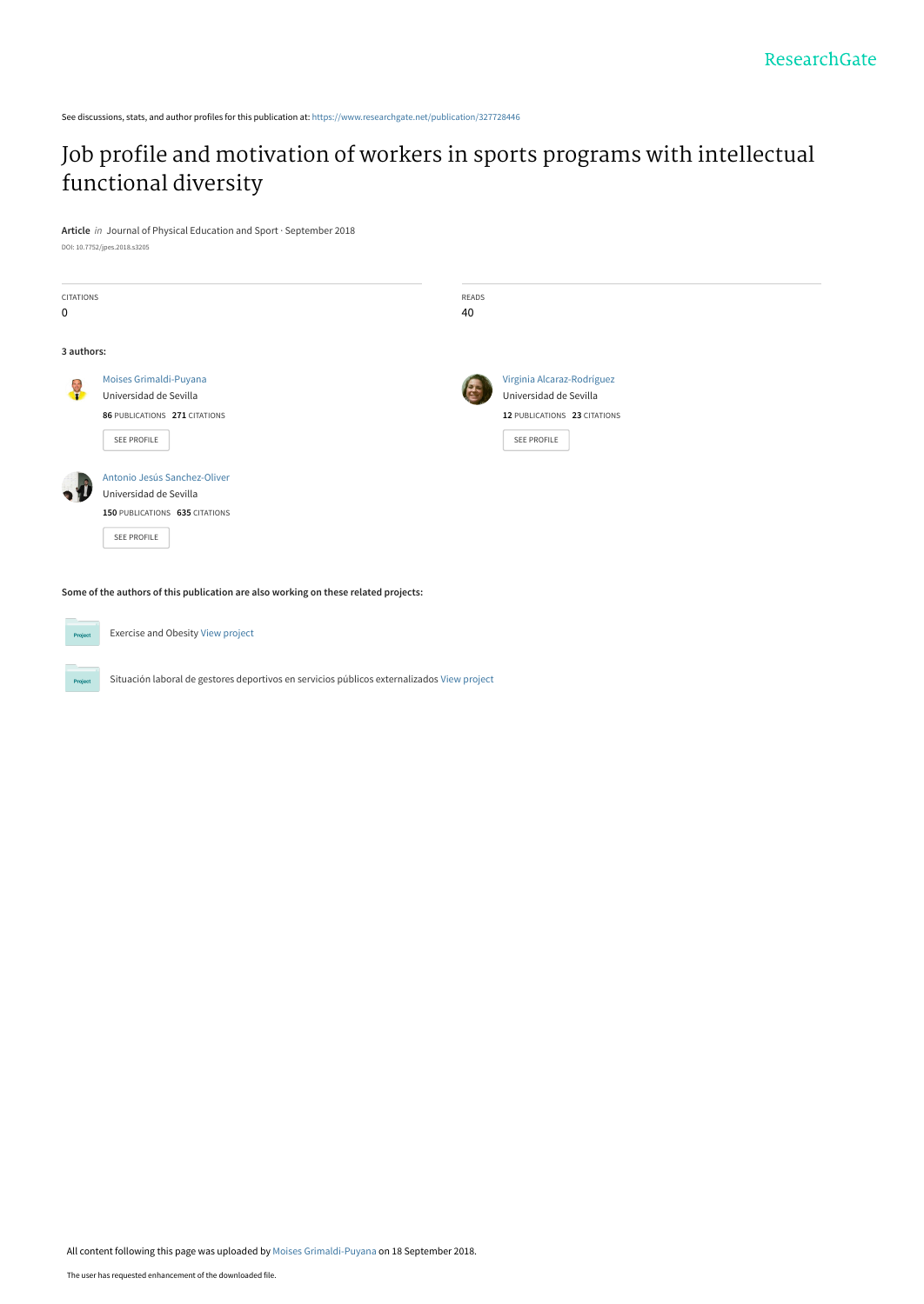See discussions, stats, and author profiles for this publication at: [https://www.researchgate.net/publication/327728446](https://www.researchgate.net/publication/327728446_Job_profile_and_motivation_of_workers_in_sports_programs_with_intellectual_functional_diversity?enrichId=rgreq-751273ef43a75cba548fdcbab5d8a6a3-XXX&enrichSource=Y292ZXJQYWdlOzMyNzcyODQ0NjtBUzo2NzIyMTQyMzE4Mzg3MjRAMTUzNzI3OTc3MDkzNQ%3D%3D&el=1_x_2&_esc=publicationCoverPdf)

# [Job profile and motivation of workers in sports programs with intellectual](https://www.researchgate.net/publication/327728446_Job_profile_and_motivation_of_workers_in_sports_programs_with_intellectual_functional_diversity?enrichId=rgreq-751273ef43a75cba548fdcbab5d8a6a3-XXX&enrichSource=Y292ZXJQYWdlOzMyNzcyODQ0NjtBUzo2NzIyMTQyMzE4Mzg3MjRAMTUzNzI3OTc3MDkzNQ%3D%3D&el=1_x_3&_esc=publicationCoverPdf) functional diversity

**Article** in Journal of Physical Education and Sport · September 2018 DOI: 10.7752/jpes.2018.s3205

| <b>CITATIONS</b> |                                | READS |                              |  |
|------------------|--------------------------------|-------|------------------------------|--|
| $\pmb{0}$        |                                | 40    |                              |  |
| 3 authors:       |                                |       |                              |  |
| $\mathbb{R}^2$   | Moises Grimaldi-Puyana         |       | Virginia Alcaraz-Rodríguez   |  |
| ¥                | Universidad de Sevilla         |       | Universidad de Sevilla       |  |
|                  | 86 PUBLICATIONS 271 CITATIONS  |       | 12 PUBLICATIONS 23 CITATIONS |  |
|                  | SEE PROFILE                    |       | SEE PROFILE                  |  |
|                  | Antonio Jesús Sanchez-Oliver   |       |                              |  |
|                  | Universidad de Sevilla         |       |                              |  |
|                  | 150 PUBLICATIONS 635 CITATIONS |       |                              |  |
|                  | SEE PROFILE                    |       |                              |  |
|                  |                                |       |                              |  |

**Some of the authors of this publication are also working on these related projects:**

**Project** Exercise and Obesity [View project](https://www.researchgate.net/project/Exercise-and-Obesity-2?enrichId=rgreq-751273ef43a75cba548fdcbab5d8a6a3-XXX&enrichSource=Y292ZXJQYWdlOzMyNzcyODQ0NjtBUzo2NzIyMTQyMzE4Mzg3MjRAMTUzNzI3OTc3MDkzNQ%3D%3D&el=1_x_9&_esc=publicationCoverPdf) Situación laboral de gestores deportivos en servicios públicos externalizados [View project](https://www.researchgate.net/project/Situacion-laboral-de-gestores-deportivos-en-servicios-publicos-externalizados?enrichId=rgreq-751273ef43a75cba548fdcbab5d8a6a3-XXX&enrichSource=Y292ZXJQYWdlOzMyNzcyODQ0NjtBUzo2NzIyMTQyMzE4Mzg3MjRAMTUzNzI3OTc3MDkzNQ%3D%3D&el=1_x_9&_esc=publicationCoverPdf) Project

All content following this page was uploaded by [Moises Grimaldi-Puyana](https://www.researchgate.net/profile/Moises-Grimaldi-Puyana?enrichId=rgreq-751273ef43a75cba548fdcbab5d8a6a3-XXX&enrichSource=Y292ZXJQYWdlOzMyNzcyODQ0NjtBUzo2NzIyMTQyMzE4Mzg3MjRAMTUzNzI3OTc3MDkzNQ%3D%3D&el=1_x_10&_esc=publicationCoverPdf) on 18 September 2018.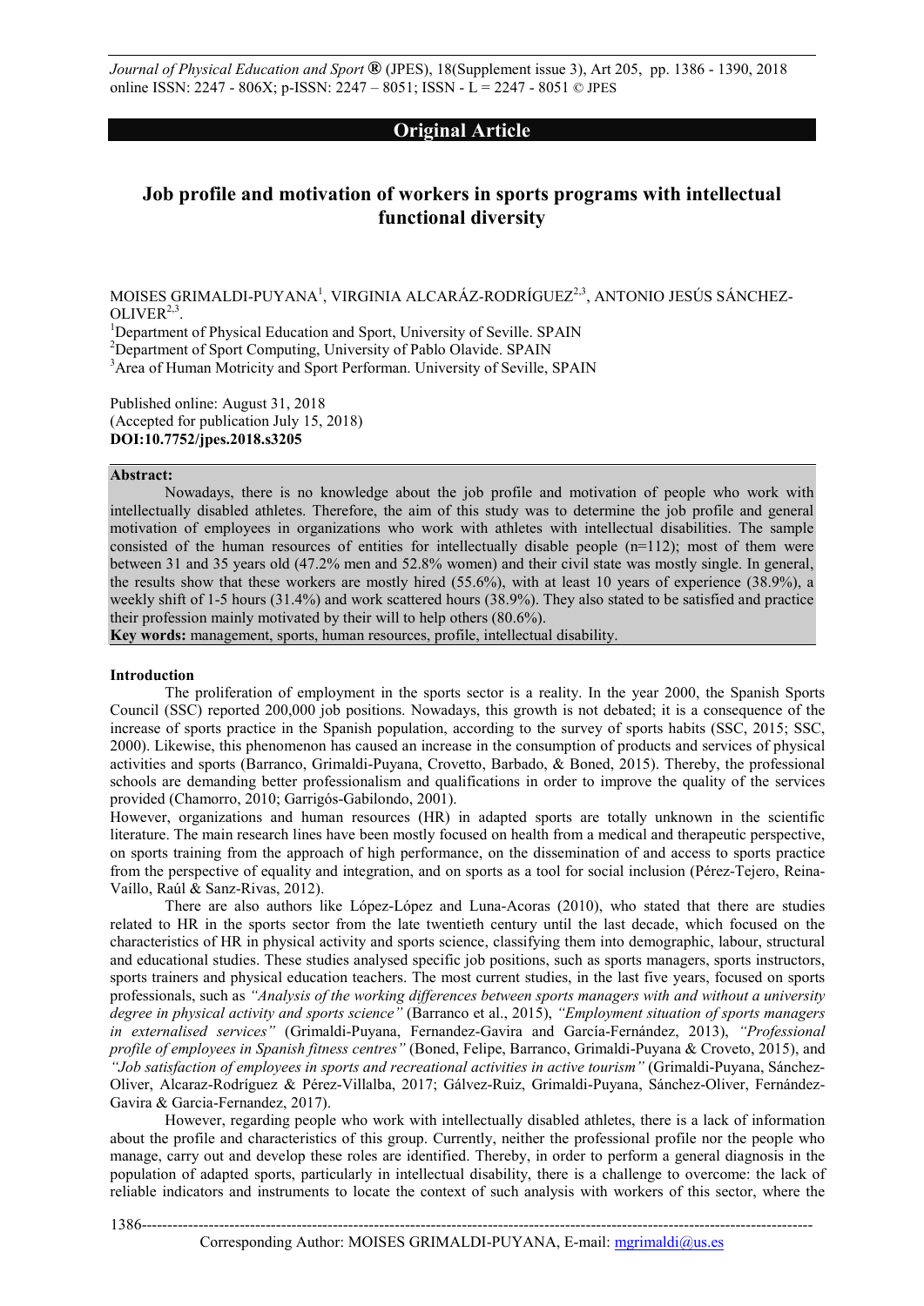*Journal of Physical Education and Sport* **®** (JPES), 18(Supplement issue 3), Art 205, pp. 1386 - 1390, 2018 online ISSN: 2247 - 806X; p-ISSN: 2247 – 8051; ISSN - L = 2247 - 8051 © JPES

## **Original Article**

# **Job profile and motivation of workers in sports programs with intellectual functional diversity**

MOISES GRIMALDI-PUYANA<sup>1</sup>, VIRGINIA ALCARÁZ-RODRÍGUEZ<sup>2,3</sup>, ANTONIO JESÚS SÁNCHEZ-OLIVER $2,3$ .

<sup>1</sup>Department of Physical Education and Sport, University of Seville. SPAIN

<sup>2</sup>Department of Sport Computing, University of Pablo Olavide, SPAIN

<sup>3</sup>Area of Human Motricity and Sport Performan. University of Seville, SPAIN

Published online: August 31, 2018 (Accepted for publication July 15, 2018) **DOI:10.7752/jpes.2018.s3205** 

#### **Abstract:**

Nowadays, there is no knowledge about the job profile and motivation of people who work with intellectually disabled athletes. Therefore, the aim of this study was to determine the job profile and general motivation of employees in organizations who work with athletes with intellectual disabilities. The sample consisted of the human resources of entities for intellectually disable people (n=112); most of them were between 31 and 35 years old (47.2% men and 52.8% women) and their civil state was mostly single. In general, the results show that these workers are mostly hired (55.6%), with at least 10 years of experience (38.9%), a weekly shift of 1-5 hours (31.4%) and work scattered hours (38.9%). They also stated to be satisfied and practice their profession mainly motivated by their will to help others (80.6%).

**Key words:** management, sports, human resources, profile, intellectual disability.

#### **Introduction**

The proliferation of employment in the sports sector is a reality. In the year 2000, the Spanish Sports Council (SSC) reported 200,000 job positions. Nowadays, this growth is not debated; it is a consequence of the increase of sports practice in the Spanish population, according to the survey of sports habits (SSC, 2015; SSC, 2000). Likewise, this phenomenon has caused an increase in the consumption of products and services of physical activities and sports (Barranco, Grimaldi-Puyana, Crovetto, Barbado, & Boned, 2015). Thereby, the professional schools are demanding better professionalism and qualifications in order to improve the quality of the services provided (Chamorro, 2010; Garrigós-Gabilondo, 2001).

However, organizations and human resources (HR) in adapted sports are totally unknown in the scientific literature. The main research lines have been mostly focused on health from a medical and therapeutic perspective, on sports training from the approach of high performance, on the dissemination of and access to sports practice from the perspective of equality and integration, and on sports as a tool for social inclusion (Pérez-Tejero, Reina-Vaíllo, Raúl & Sanz-Rivas, 2012).

There are also authors like López-López and Luna-Acoras (2010), who stated that there are studies related to HR in the sports sector from the late twentieth century until the last decade, which focused on the characteristics of HR in physical activity and sports science, classifying them into demographic, labour, structural and educational studies. These studies analysed specific job positions, such as sports managers, sports instructors, sports trainers and physical education teachers. The most current studies, in the last five years, focused on sports professionals, such as *"Analysis of the working differences between sports managers with and without a university degree in physical activity and sports science"* (Barranco et al., 2015), *"Employment situation of sports managers in externalised services"* (Grimaldi-Puyana, Fernandez-Gavira and García-Fernández, 2013), *"Professional profile of employees in Spanish fitness centres"* (Boned, Felipe, Barranco, Grimaldi-Puyana & Croveto, 2015), and *"Job satisfaction of employees in sports and recreational activities in active tourism"* (Grimaldi-Puyana, Sánchez-Oliver, Alcaraz-Rodríguez & Pérez-Villalba, 2017; Gálvez-Ruiz, Grimaldi-Puyana, Sánchez-Oliver, Fernández-Gavira & Garcia-Fernandez, 2017).

However, regarding people who work with intellectually disabled athletes, there is a lack of information about the profile and characteristics of this group. Currently, neither the professional profile nor the people who manage, carry out and develop these roles are identified. Thereby, in order to perform a general diagnosis in the population of adapted sports, particularly in intellectual disability, there is a challenge to overcome: the lack of reliable indicators and instruments to locate the context of such analysis with workers of this sector, where the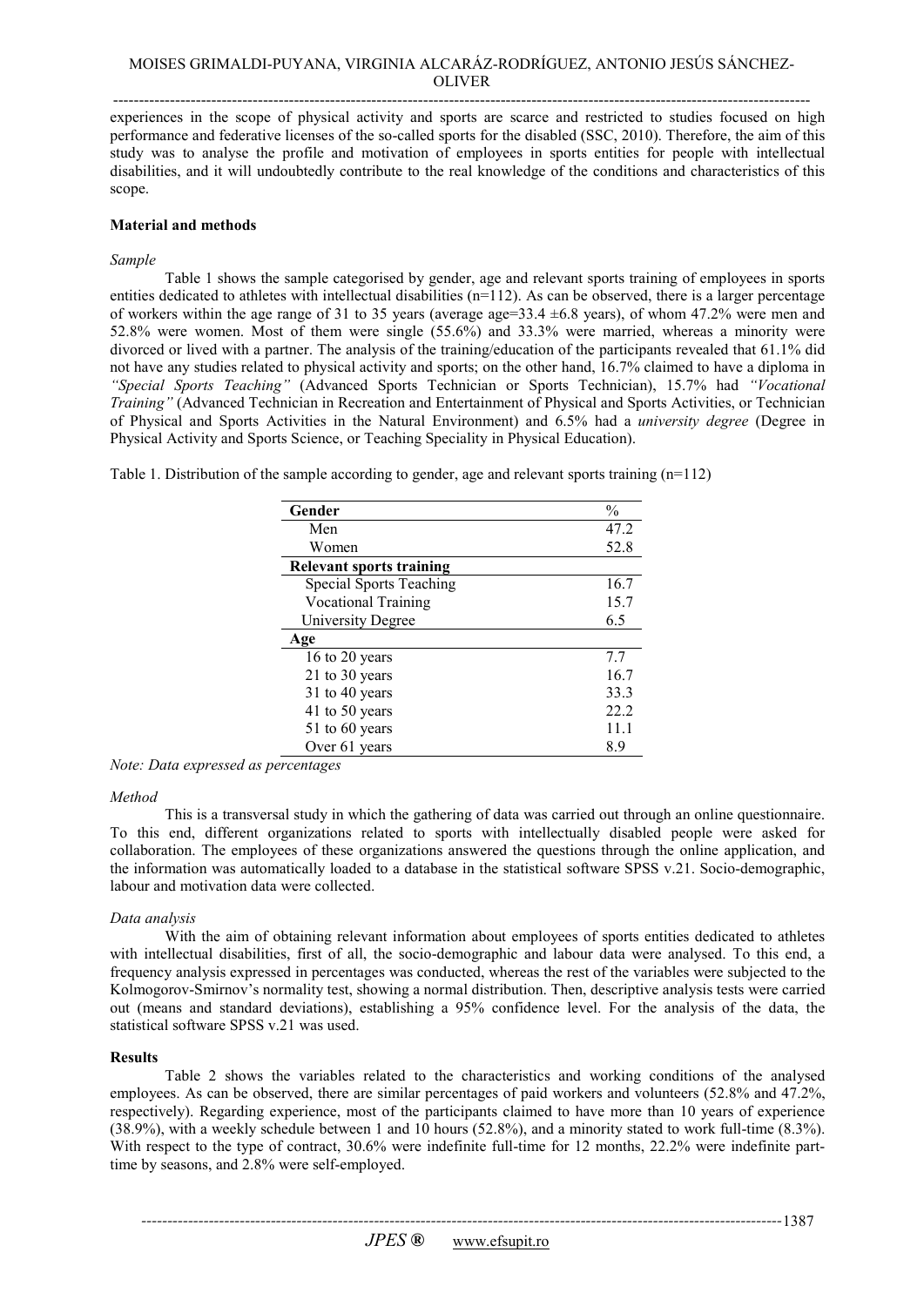### MOISES GRIMALDI-PUYANA, VIRGINIA ALCARÁZ-RODRÍGUEZ, ANTONIO JESÚS SÁNCHEZ-OLIVER

-------------------------------------------------------------------------------------------------------------------------------------- experiences in the scope of physical activity and sports are scarce and restricted to studies focused on high performance and federative licenses of the so-called sports for the disabled (SSC, 2010). Therefore, the aim of this study was to analyse the profile and motivation of employees in sports entities for people with intellectual disabilities, and it will undoubtedly contribute to the real knowledge of the conditions and characteristics of this scope.

#### **Material and methods**

#### *Sample*

Table 1 shows the sample categorised by gender, age and relevant sports training of employees in sports entities dedicated to athletes with intellectual disabilities (n=112). As can be observed, there is a larger percentage of workers within the age range of 31 to 35 years (average age=33.4  $\pm$ 6.8 years), of whom 47.2% were men and 52.8% were women. Most of them were single (55.6%) and 33.3% were married, whereas a minority were divorced or lived with a partner. The analysis of the training/education of the participants revealed that 61.1% did not have any studies related to physical activity and sports; on the other hand, 16.7% claimed to have a diploma in *"Special Sports Teaching"* (Advanced Sports Technician or Sports Technician), 15.7% had *"Vocational Training"* (Advanced Technician in Recreation and Entertainment of Physical and Sports Activities, or Technician of Physical and Sports Activities in the Natural Environment) and 6.5% had a *university degree* (Degree in Physical Activity and Sports Science, or Teaching Speciality in Physical Education).

Table 1. Distribution of the sample according to gender, age and relevant sports training  $(n=112)$ 

| Gender                          | $\frac{0}{0}$ |
|---------------------------------|---------------|
| Men                             | 47.2          |
| Women                           | 52.8          |
| <b>Relevant sports training</b> |               |
| <b>Special Sports Teaching</b>  | 16.7          |
| <b>Vocational Training</b>      | 15.7          |
| University Degree               | 6.5           |
| Age                             |               |
| 16 to 20 years                  | 7.7           |
| 21 to 30 years                  | 16.7          |
| 31 to 40 years                  | 33.3          |
| 41 to 50 years                  | 222           |
| 51 to 60 years                  | 11.1          |
| Over 61 years                   | 8.9           |

*Note: Data expressed as percentages* 

#### *Method*

This is a transversal study in which the gathering of data was carried out through an online questionnaire. To this end, different organizations related to sports with intellectually disabled people were asked for collaboration. The employees of these organizations answered the questions through the online application, and the information was automatically loaded to a database in the statistical software SPSS v.21. Socio-demographic, labour and motivation data were collected.

#### *Data analysis*

With the aim of obtaining relevant information about employees of sports entities dedicated to athletes with intellectual disabilities, first of all, the socio-demographic and labour data were analysed. To this end, a frequency analysis expressed in percentages was conducted, whereas the rest of the variables were subjected to the Kolmogorov-Smirnov's normality test, showing a normal distribution. Then, descriptive analysis tests were carried out (means and standard deviations), establishing a 95% confidence level. For the analysis of the data, the statistical software SPSS v.21 was used.

#### **Results**

Table 2 shows the variables related to the characteristics and working conditions of the analysed employees. As can be observed, there are similar percentages of paid workers and volunteers (52.8% and 47.2%, respectively). Regarding experience, most of the participants claimed to have more than 10 years of experience (38.9%), with a weekly schedule between 1 and 10 hours (52.8%), and a minority stated to work full-time (8.3%). With respect to the type of contract, 30.6% were indefinite full-time for 12 months, 22.2% were indefinite parttime by seasons, and 2.8% were self-employed.

*----------------------------------------------------------------------------------------------------------------------------*  1387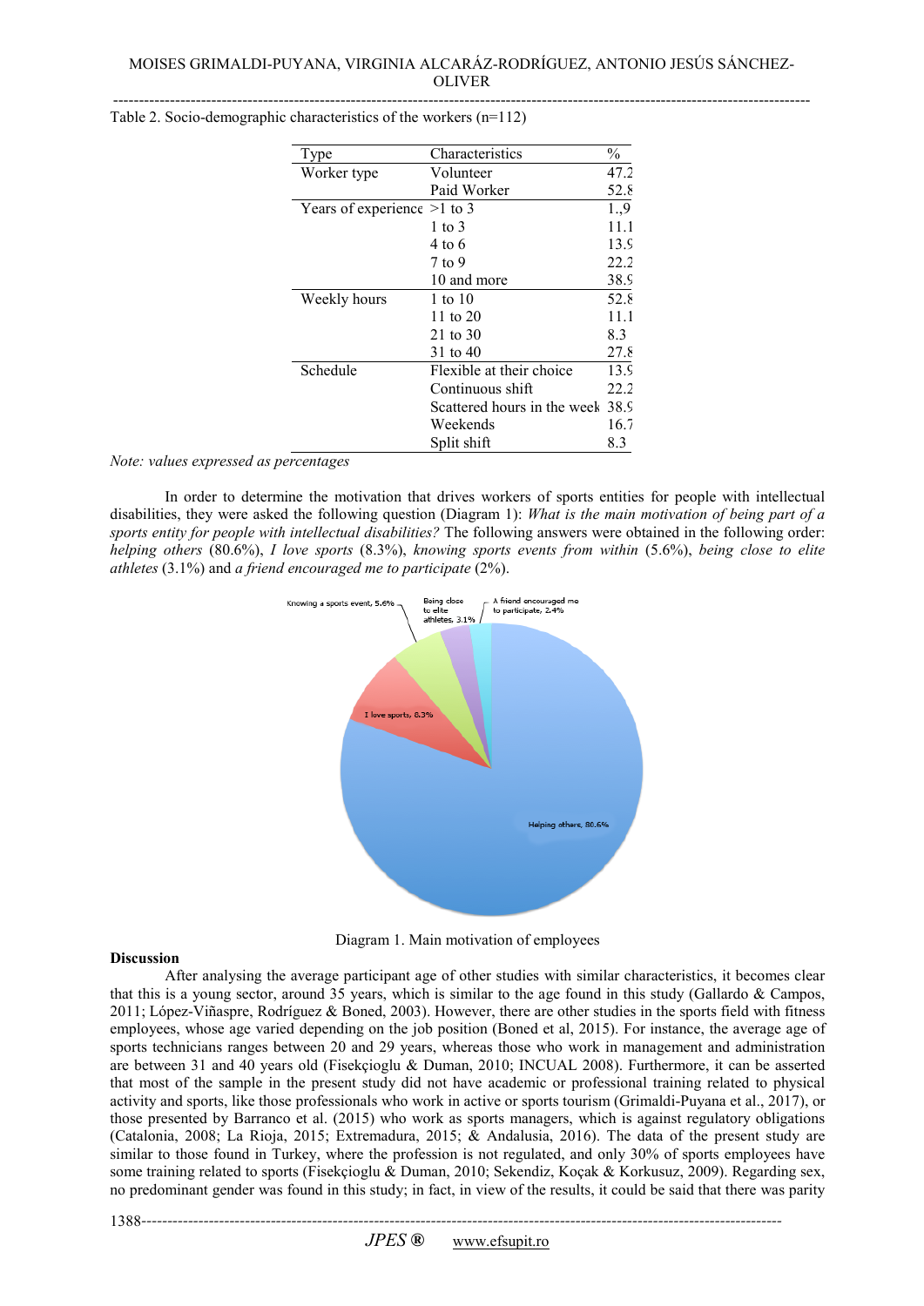| Characteristics                  | $\frac{0}{0}$ |
|----------------------------------|---------------|
| Volunteer                        | 47.2          |
| Paid Worker                      | 52.8          |
| Years of experience $>1$ to 3    | 1.9           |
| 1 to 3                           | 11.1          |
| 4 to 6                           | 13.9          |
| 7 to 9                           | 22.2          |
| 10 and more                      | 38.9          |
| 1 to 10                          | 52.8          |
| 11 to $20$                       | 11.1          |
| 21 to 30                         | 8.3           |
| 31 to 40                         | 27.8          |
| Flexible at their choice         | 13.9          |
| Continuous shift                 | 22.2          |
| Scattered hours in the week 38.9 |               |
| Weekends                         | 16.7          |
| Split shift                      | 8.3           |
|                                  |               |

--------------------------------------------------------------------------------------------------------------------------------------- Table 2. Socio-demographic characteristics of the workers (n=112)

*Note: values expressed as percentages* 

In order to determine the motivation that drives workers of sports entities for people with intellectual disabilities, they were asked the following question (Diagram 1): *What is the main motivation of being part of a sports entity for people with intellectual disabilities?* The following answers were obtained in the following order: *helping others* (80.6%), *I love sports* (8.3%), *knowing sports events from within* (5.6%), *being close to elite athletes* (3.1%) and *a friend encouraged me to participate* (2%).



Diagram 1. Main motivation of employees

#### **Discussion**

After analysing the average participant age of other studies with similar characteristics, it becomes clear that this is a young sector, around  $35$  years, which is similar to the age found in this study (Gallardo & Campos, 2011; López-Viñaspre, Rodríguez & Boned, 2003). However, there are other studies in the sports field with fitness employees, whose age varied depending on the job position (Boned et al, 2015). For instance, the average age of sports technicians ranges between 20 and 29 years, whereas those who work in management and administration are between 31 and 40 years old (Fisekçioglu & Duman, 2010; INCUAL 2008). Furthermore, it can be asserted that most of the sample in the present study did not have academic or professional training related to physical activity and sports, like those professionals who work in active or sports tourism (Grimaldi-Puyana et al., 2017), or those presented by Barranco et al. (2015) who work as sports managers, which is against regulatory obligations (Catalonia, 2008; La Rioja, 2015; Extremadura, 2015; & Andalusia, 2016). The data of the present study are similar to those found in Turkey, where the profession is not regulated, and only 30% of sports employees have some training related to sports (Fisekçioglu & Duman, 2010; Sekendiz, Koçak & Korkusuz, 2009). Regarding sex, no predominant gender was found in this study; in fact, in view of the results, it could be said that there was parity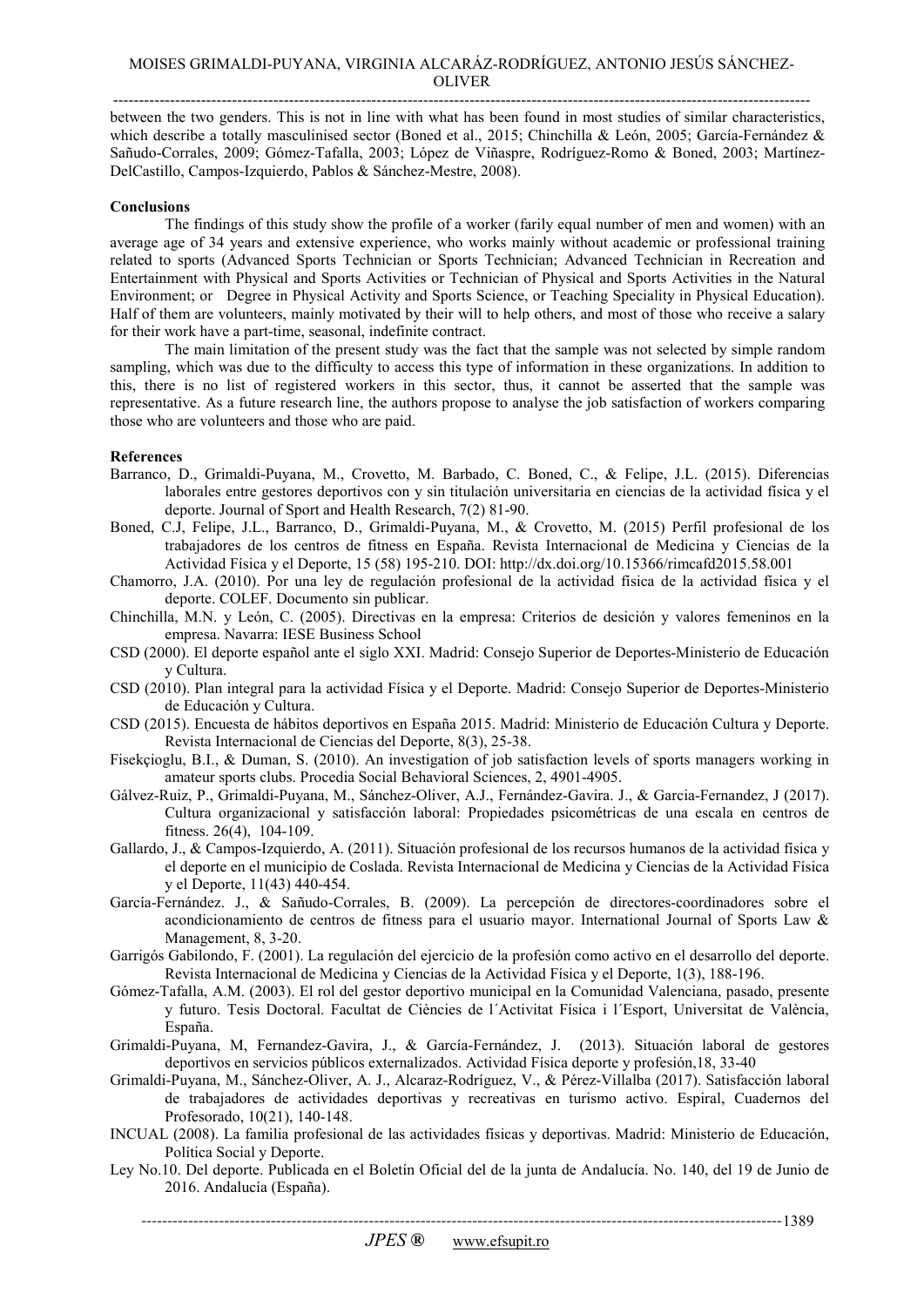-------------------------------------------------------------------------------------------------------------------------------------- between the two genders. This is not in line with what has been found in most studies of similar characteristics, which describe a totally masculinised sector (Boned et al., 2015; Chinchilla & León, 2005; García-Fernández & Sañudo-Corrales, 2009; Gómez-Tafalla, 2003; López de Viñaspre, Rodríguez-Romo & Boned, 2003; Martínez-DelCastillo, Campos-Izquierdo, Pablos & Sánchez-Mestre, 2008).

#### **Conclusions**

 The findings of this study show the profile of a worker (farily equal number of men and women) with an average age of 34 years and extensive experience, who works mainly without academic or professional training related to sports (Advanced Sports Technician or Sports Technician; Advanced Technician in Recreation and Entertainment with Physical and Sports Activities or Technician of Physical and Sports Activities in the Natural Environment; or Degree in Physical Activity and Sports Science, or Teaching Speciality in Physical Education). Half of them are volunteers, mainly motivated by their will to help others, and most of those who receive a salary for their work have a part-time, seasonal, indefinite contract.

The main limitation of the present study was the fact that the sample was not selected by simple random sampling, which was due to the difficulty to access this type of information in these organizations. In addition to this, there is no list of registered workers in this sector, thus, it cannot be asserted that the sample was representative. As a future research line, the authors propose to analyse the job satisfaction of workers comparing those who are volunteers and those who are paid.

#### **References**

- Barranco, D., Grimaldi-Puyana, M., Crovetto, M. Barbado, C. Boned, C., & Felipe, J.L. (2015). Diferencias laborales entre gestores deportivos con y sin titulación universitaria en ciencias de la actividad física y el deporte. Journal of Sport and Health Research, 7(2) 81-90.
- Boned, C.J, Felipe, J.L., Barranco, D., Grimaldi-Puyana, M., & Crovetto, M. (2015) Perfil profesional de los trabajadores de los centros de fitness en España. Revista Internacional de Medicina y Ciencias de la Actividad Física y el Deporte, 15 (58) 195-210. DOI: http://dx.doi.org/10.15366/rimcafd2015.58.001
- Chamorro, J.A. (2010). Por una ley de regulación profesional de la actividad física de la actividad física y el deporte. COLEF. Documento sin publicar.
- Chinchilla, M.N. y León, C. (2005). Directivas en la empresa: Criterios de desición y valores femeninos en la empresa. Navarra: IESE Business School
- CSD (2000). El deporte español ante el siglo XXI. Madrid: Consejo Superior de Deportes-Ministerio de Educación y Cultura.
- CSD (2010). Plan integral para la actividad Física y el Deporte. Madrid: Consejo Superior de Deportes-Ministerio de Educación y Cultura.
- CSD (2015). Encuesta de hábitos deportivos en España 2015. Madrid: Ministerio de Educación Cultura y Deporte. Revista Internacional de Ciencias del Deporte, 8(3), 25-38.
- Fisekçioglu, B.I., & Duman, S. (2010). An investigation of job satisfaction levels of sports managers working in amateur sports clubs. Procedia Social Behavioral Sciences, 2, 4901-4905.
- Gálvez-Ruiz, P., Grimaldi-Puyana, M., Sánchez-Oliver, A.J., Fernández-Gavira. J., & Garcia-Fernandez, J (2017). Cultura organizacional y satisfacción laboral: Propiedades psicométricas de una escala en centros de fitness. 26(4), 104-109.
- Gallardo, J., & Campos-Izquierdo, A. (2011). Situación profesional de los recursos humanos de la actividad física y el deporte en el municipio de Coslada. Revista Internacional de Medicina y Ciencias de la Actividad Física y el Deporte, 11(43) 440-454.
- García-Fernández. J., & Sañudo-Corrales, B. (2009). La percepción de directores-coordinadores sobre el acondicionamiento de centros de fitness para el usuario mayor. International Journal of Sports Law & Management, 8, 3-20.
- Garrigós Gabilondo, F. (2001). La regulación del ejercicio de la profesión como activo en el desarrollo del deporte. Revista Internacional de Medicina y Ciencias de la Actividad Física y el Deporte, 1(3), 188-196.
- Gómez-Tafalla, A.M. (2003). El rol del gestor deportivo municipal en la Comunidad Valenciana, pasado, presente y futuro. Tesis Doctoral. Facultat de Ciències de l´Activitat Física i l´Esport, Universitat de València, España.
- Grimaldi-Puyana, M, Fernandez-Gavira, J., & García-Fernández, J. (2013). Situación laboral de gestores deportivos en servicios públicos externalizados. Actividad Física deporte y profesión,18, 33-40
- Grimaldi-Puyana, M., Sánchez-Oliver, A. J., Alcaraz-Rodríguez, V., & Pérez-Villalba (2017). Satisfacción laboral de trabajadores de actividades deportivas y recreativas en turismo activo. Espiral, Cuadernos del Profesorado, 10(21), 140-148.
- INCUAL (2008). La familia profesional de las actividades físicas y deportivas. Madrid: Ministerio de Educación, Política Social y Deporte.
- Ley No.10. Del deporte. Publicada en el Boletín Oficial del de la junta de Andalucía. No. 140, del 19 de Junio de 2016. Andalucía (España).

*----------------------------------------------------------------------------------------------------------------------------*  1389